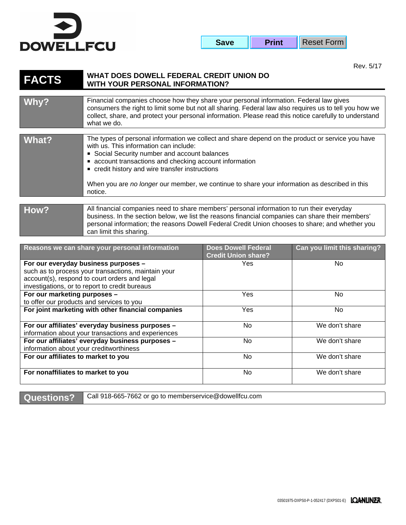

| <b>Save</b> | <b>Print</b> | Reset Form |
|-------------|--------------|------------|
|-------------|--------------|------------|

Rev. 5/17

## **FACTS WHAT DOES DOWELL FEDERAL CREDIT UNION DO WITH YOUR PERSONAL INFORMATION?**

can limit this sharing.

| Why?  | Financial companies choose how they share your personal information. Federal law gives<br>consumers the right to limit some but not all sharing. Federal law also requires us to tell you how we<br>collect, share, and protect your personal information. Please read this notice carefully to understand<br>what we do.                                                                                             |
|-------|-----------------------------------------------------------------------------------------------------------------------------------------------------------------------------------------------------------------------------------------------------------------------------------------------------------------------------------------------------------------------------------------------------------------------|
|       |                                                                                                                                                                                                                                                                                                                                                                                                                       |
| What? | The types of personal information we collect and share depend on the product or service you have<br>with us. This information can include:<br>• Social Security number and account balances<br>• account transactions and checking account information<br>• credit history and wire transfer instructions<br>When you are no longer our member, we continue to share your information as described in this<br>notice. |
|       |                                                                                                                                                                                                                                                                                                                                                                                                                       |
| How?  | All financial companies need to share members' personal information to run their everyday<br>business. In the section below, we list the reasons financial companies can share their members'<br>personal information; the reasons Dowell Federal Credit Union chooses to share; and whether you                                                                                                                      |

| Reasons we can share your personal information                                                                                                                                                 | <b>Does Dowell Federal</b><br><b>Credit Union share?</b> | Can you limit this sharing? |
|------------------------------------------------------------------------------------------------------------------------------------------------------------------------------------------------|----------------------------------------------------------|-----------------------------|
| For our everyday business purposes -<br>such as to process your transactions, maintain your<br>account(s), respond to court orders and legal<br>investigations, or to report to credit bureaus | Yes                                                      | No.                         |
| For our marketing purposes -<br>to offer our products and services to you                                                                                                                      | Yes                                                      | No.                         |
| For joint marketing with other financial companies                                                                                                                                             | Yes                                                      | No.                         |
| For our affiliates' everyday business purposes -<br>information about your transactions and experiences                                                                                        | <b>No</b>                                                | We don't share              |
| For our affiliates' everyday business purposes -<br>information about your creditworthiness                                                                                                    | <b>No</b>                                                | We don't share              |
| For our affiliates to market to you                                                                                                                                                            | <b>No</b>                                                | We don't share              |
| For nonaffiliates to market to you                                                                                                                                                             | No                                                       | We don't share              |

Questions? Call 918-665-7662 or go to memberservice@dowellfcu.com